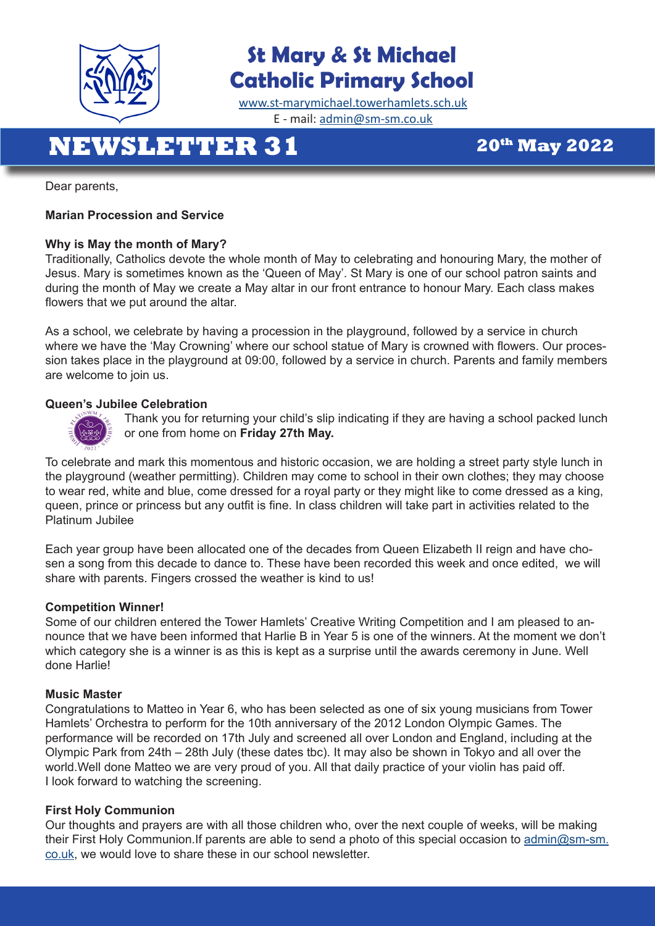

### **St Mary & St Michael Catholic Primary School**

[www.st-marymichael.towerhamlets.sch.uk](http://www.st-marymichael.towerhamlets.sch.uk)  E - mail: [admin@sm-sm.co.uk](http://admin@sm-sm.co.uk)

# **NEWSLETTER 31 20th May 2022**

Dear parents,

#### **Marian Procession and Service**

#### **Why is May the month of Mary?**

Traditionally, Catholics devote the whole month of May to celebrating and honouring Mary, the mother of Jesus. Mary is sometimes known as the 'Queen of May'. St Mary is one of our school patron saints and during the month of May we create a May altar in our front entrance to honour Mary. Each class makes flowers that we put around the altar.

As a school, we celebrate by having a procession in the playground, followed by a service in church where we have the 'May Crowning' where our school statue of Mary is crowned with flowers. Our procession takes place in the playground at 09:00, followed by a service in church. Parents and family members are welcome to join us.

#### **Queen's Jubilee Celebration**



 Thank you for returning your child's slip indicating if they are having a school packed lunch or one from home on **Friday 27th May.** 

To celebrate and mark this momentous and historic occasion, we are holding a street party style lunch in the playground (weather permitting). Children may come to school in their own clothes; they may choose to wear red, white and blue, come dressed for a royal party or they might like to come dressed as a king, queen, prince or princess but any outfit is fine. In class children will take part in activities related to the Platinum Jubilee

Each year group have been allocated one of the decades from Queen Elizabeth II reign and have chosen a song from this decade to dance to. These have been recorded this week and once edited, we will share with parents. Fingers crossed the weather is kind to us!

#### **Competition Winner!**

Some of our children entered the Tower Hamlets' Creative Writing Competition and I am pleased to announce that we have been informed that Harlie B in Year 5 is one of the winners. At the moment we don't which category she is a winner is as this is kept as a surprise until the awards ceremony in June. Well done Harlie!

#### **Music Master**

Congratulations to Matteo in Year 6, who has been selected as one of six young musicians from Tower Hamlets' Orchestra to perform for the 10th anniversary of the 2012 London Olympic Games. The performance will be recorded on 17th July and screened all over London and England, including at the Olympic Park from 24th – 28th July (these dates tbc). It may also be shown in Tokyo and all over the world.Well done Matteo we are very proud of you. All that daily practice of your violin has paid off. I look forward to watching the screening.

#### **First Holy Communion**

Our thoughts and prayers are with all those children who, over the next couple of weeks, will be making their First Holy Communion.If parents are able to send a photo of this special occasion to [admin@sm-sm.](mailto:admin%40sm-sm.co.uk?subject=First%20Holy%20Communion) [co.uk](mailto:admin%40sm-sm.co.uk?subject=First%20Holy%20Communion), we would love to share these in our school newsletter.